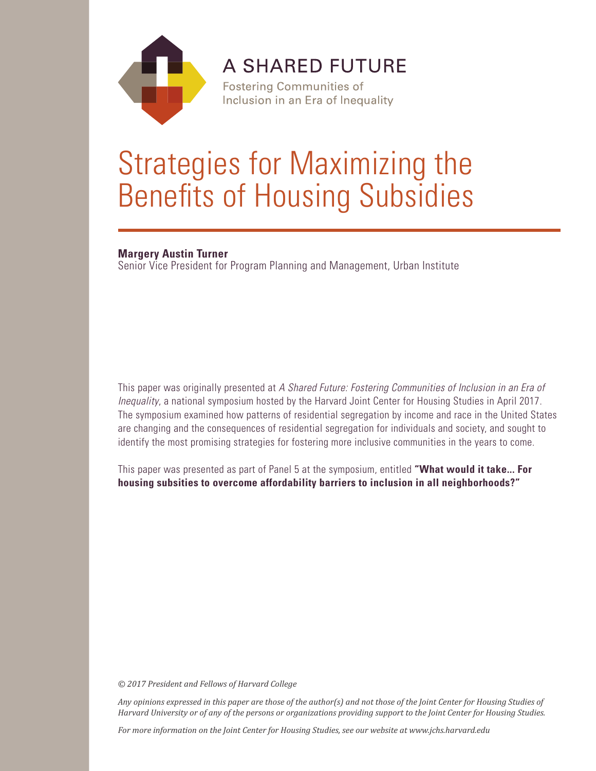

**A SHARED FUTURE** 

**Fostering Communities of** Inclusion in an Era of Inequality

# Strategies for Maximizing the Benefits of Housing Subsidies

#### **Margery Austin Turner**

Senior Vice President for Program Planning and Management, Urban Institute

This paper was originally presented at *A Shared Future: Fostering Communities of Inclusion in an Era of Inequality*, a national symposium hosted by the Harvard Joint Center for Housing Studies in April 2017. The symposium examined how patterns of residential segregation by income and race in the United States are changing and the consequences of residential segregation for individuals and society, and sought to identify the most promising strategies for fostering more inclusive communities in the years to come.

This paper was presented as part of Panel 5 at the symposium, entitled **"What would it take... For housing subsities to overcome affordability barriers to inclusion in all neighborhoods?"**

*© 2017 President and Fellows of Harvard College*

*Any opinions expressed in this paper are those of the author(s) and not those of the Joint Center for Housing Studies of Harvard University or of any of the persons or organizations providing support to the Joint Center for Housing Studies.* 

*For more information on the Joint Center for Housing Studies, see our website at www.jchs.harvard.edu*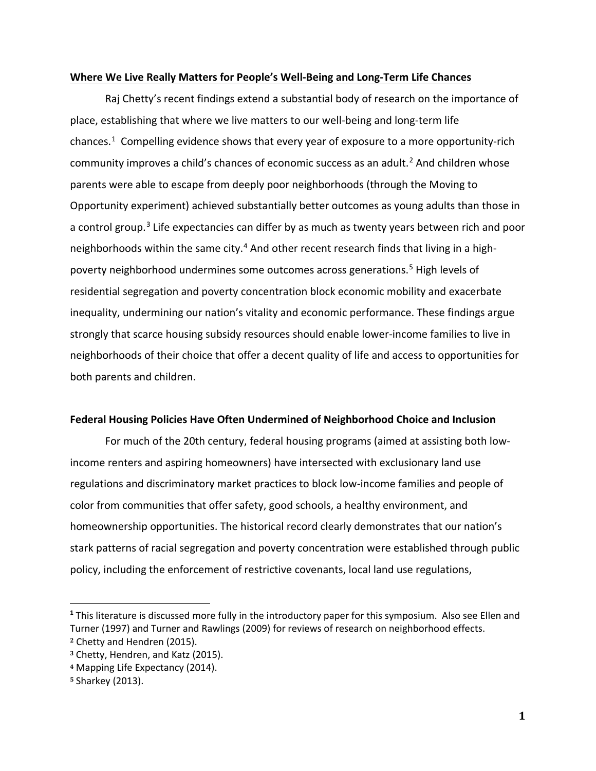#### **Where We Live Really Matters for People's Well-Being and Long-Term Life Chances**

Raj Chetty's recent findings extend a substantial body of research on the importance of place, establishing that where we live matters to our well-being and long-term life chances.<sup>[1](#page-1-0)</sup> Compelling evidence shows that every year of exposure to a more opportunity-rich community improves a child's chances of economic success as an adult.<sup>[2](#page-1-1)</sup> And children whose parents were able to escape from deeply poor neighborhoods (through the Moving to Opportunity experiment) achieved substantially better outcomes as young adults than those in a control group.<sup>[3](#page-1-2)</sup> Life expectancies can differ by as much as twenty years between rich and poor neighborhoods within the same city.<sup>[4](#page-1-3)</sup> And other recent research finds that living in a highpoverty neighborhood undermines some outcomes across generations.[5](#page-1-4) High levels of residential segregation and poverty concentration block economic mobility and exacerbate inequality, undermining our nation's vitality and economic performance. These findings argue strongly that scarce housing subsidy resources should enable lower-income families to live in neighborhoods of their choice that offer a decent quality of life and access to opportunities for both parents and children.

### **Federal Housing Policies Have Often Undermined of Neighborhood Choice and Inclusion**

For much of the 20th century, federal housing programs (aimed at assisting both lowincome renters and aspiring homeowners) have intersected with exclusionary land use regulations and discriminatory market practices to block low-income families and people of color from communities that offer safety, good schools, a healthy environment, and homeownership opportunities. The historical record clearly demonstrates that our nation's stark patterns of racial segregation and poverty concentration were established through public policy, including the enforcement of restrictive covenants, local land use regulations,

<span id="page-1-0"></span>**<sup>1</sup>** This literature is discussed more fully in the introductory paper for this symposium. Also see Ellen and Turner (1997) and Turner and Rawlings (2009) for reviews of research on neighborhood effects. **<sup>2</sup>** Chetty and Hendren (2015).

<span id="page-1-2"></span><span id="page-1-1"></span>**<sup>3</sup>** Chetty, Hendren, and Katz (2015).

<span id="page-1-3"></span>**<sup>4</sup>** Mapping Life Expectancy (2014).

<span id="page-1-4"></span>**<sup>5</sup>** Sharkey (2013).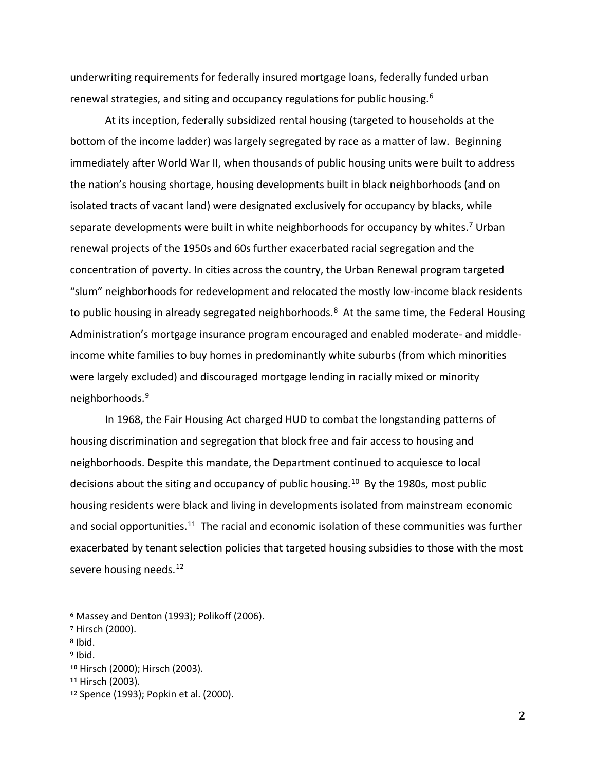underwriting requirements for federally insured mortgage loans, federally funded urban renewal strategies, and siting and occupancy regulations for public housing.<sup>[6](#page-2-0)</sup>

At its inception, federally subsidized rental housing (targeted to households at the bottom of the income ladder) was largely segregated by race as a matter of law. Beginning immediately after World War II, when thousands of public housing units were built to address the nation's housing shortage, housing developments built in black neighborhoods (and on isolated tracts of vacant land) were designated exclusively for occupancy by blacks, while separate developments were built in white neighborhoods for occupancy by whites.<sup>[7](#page-2-1)</sup> Urban renewal projects of the 1950s and 60s further exacerbated racial segregation and the concentration of poverty. In cities across the country, the Urban Renewal program targeted "slum" neighborhoods for redevelopment and relocated the mostly low-income black residents to public housing in already segregated neighborhoods.<sup>[8](#page-2-2)</sup> At the same time, the Federal Housing Administration's mortgage insurance program encouraged and enabled moderate- and middleincome white families to buy homes in predominantly white suburbs (from which minorities were largely excluded) and discouraged mortgage lending in racially mixed or minority neighborhoods.[9](#page-2-3)

In 1968, the Fair Housing Act charged HUD to combat the longstanding patterns of housing discrimination and segregation that block free and fair access to housing and neighborhoods. Despite this mandate, the Department continued to acquiesce to local decisions about the siting and occupancy of public housing.<sup>[10](#page-2-4)</sup> By the 1980s, most public housing residents were black and living in developments isolated from mainstream economic and social opportunities.<sup>[11](#page-2-5)</sup> The racial and economic isolation of these communities was further exacerbated by tenant selection policies that targeted housing subsidies to those with the most severe housing needs.<sup>[12](#page-2-6)</sup>

<span id="page-2-0"></span> **<sup>6</sup>** Massey and Denton (1993); Polikoff (2006).

<span id="page-2-1"></span>**<sup>7</sup>** Hirsch (2000).

<span id="page-2-2"></span>**<sup>8</sup>** Ibid.

<span id="page-2-3"></span>**<sup>9</sup>** Ibid.

<span id="page-2-4"></span>**<sup>10</sup>** Hirsch (2000); Hirsch (2003).

<span id="page-2-5"></span>**<sup>11</sup>** Hirsch (2003).

<span id="page-2-6"></span>**<sup>12</sup>** Spence (1993); Popkin et al. (2000).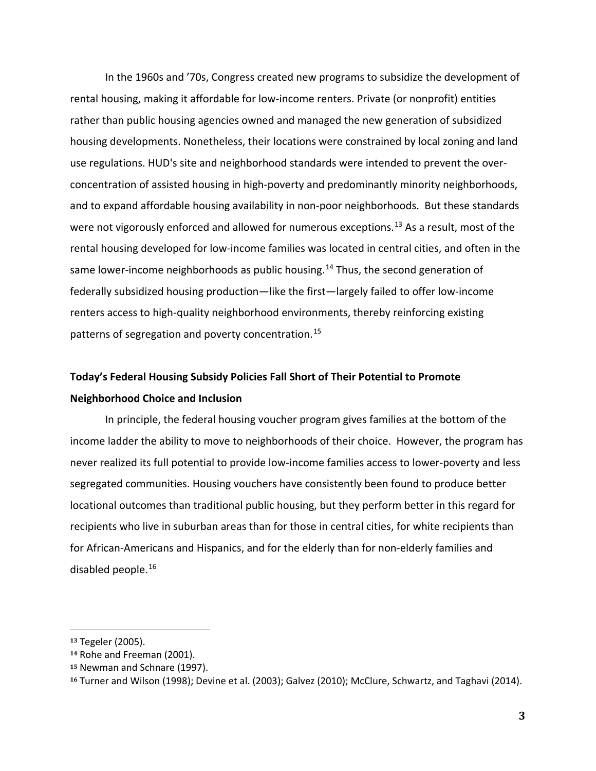In the 1960s and '70s, Congress created new programs to subsidize the development of rental housing, making it affordable for low-income renters. Private (or nonprofit) entities rather than public housing agencies owned and managed the new generation of subsidized housing developments. Nonetheless, their locations were constrained by local zoning and land use regulations. HUD's site and neighborhood standards were intended to prevent the overconcentration of assisted housing in high-poverty and predominantly minority neighborhoods, and to expand affordable housing availability in non-poor neighborhoods. But these standards were not vigorously enforced and allowed for numerous exceptions.<sup>[13](#page-3-0)</sup> As a result, most of the rental housing developed for low-income families was located in central cities, and often in the same lower-income neighborhoods as public housing.<sup>[14](#page-3-1)</sup> Thus, the second generation of federally subsidized housing production—like the first—largely failed to offer low-income renters access to high-quality neighborhood environments, thereby reinforcing existing patterns of segregation and poverty concentration. [15](#page-3-2)

## **Today's Federal Housing Subsidy Policies Fall Short of Their Potential to Promote Neighborhood Choice and Inclusion**

In principle, the federal housing voucher program gives families at the bottom of the income ladder the ability to move to neighborhoods of their choice. However, the program has never realized its full potential to provide low-income families access to lower-poverty and less segregated communities. Housing vouchers have consistently been found to produce better locational outcomes than traditional public housing, but they perform better in this regard for recipients who live in suburban areas than for those in central cities, for white recipients than for African-Americans and Hispanics, and for the elderly than for non-elderly families and disabled people.[16](#page-3-3)

<span id="page-3-0"></span> **<sup>13</sup>** Tegeler (2005).

<span id="page-3-1"></span>**<sup>14</sup>** Rohe and Freeman (2001).

<span id="page-3-2"></span>**<sup>15</sup>** Newman and Schnare (1997).

<span id="page-3-3"></span>**<sup>16</sup>** Turner and Wilson (1998); Devine et al. (2003); Galvez (2010); McClure, Schwartz, and Taghavi (2014).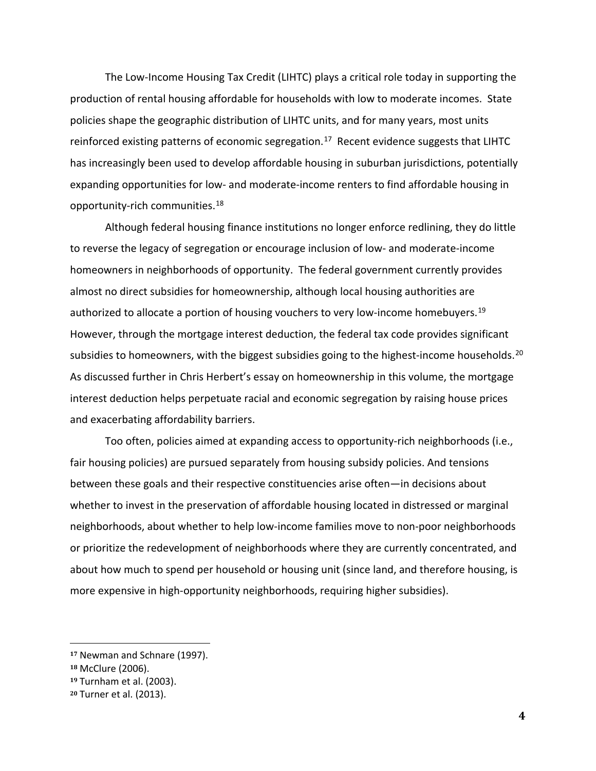The Low-Income Housing Tax Credit (LIHTC) plays a critical role today in supporting the production of rental housing affordable for households with low to moderate incomes. State policies shape the geographic distribution of LIHTC units, and for many years, most units reinforced existing patterns of economic segregation.<sup>[17](#page-4-0)</sup> Recent evidence suggests that LIHTC has increasingly been used to develop affordable housing in suburban jurisdictions, potentially expanding opportunities for low- and moderate-income renters to find affordable housing in opportunity-rich communities.<sup>18</sup>

Although federal housing finance institutions no longer enforce redlining, they do little to reverse the legacy of segregation or encourage inclusion of low- and moderate-income homeowners in neighborhoods of opportunity. The federal government currently provides almost no direct subsidies for homeownership, although local housing authorities are authorized to allocate a portion of housing vouchers to very low-income homebuyers.<sup>[19](#page-4-2)</sup> However, through the mortgage interest deduction, the federal tax code provides significant subsidies to homeowners, with the biggest subsidies going to the highest-income households.<sup>20</sup> As discussed further in Chris Herbert's essay on homeownership in this volume, the mortgage interest deduction helps perpetuate racial and economic segregation by raising house prices and exacerbating affordability barriers.

Too often, policies aimed at expanding access to opportunity-rich neighborhoods (i.e., fair housing policies) are pursued separately from housing subsidy policies. And tensions between these goals and their respective constituencies arise often—in decisions about whether to invest in the preservation of affordable housing located in distressed or marginal neighborhoods, about whether to help low-income families move to non-poor neighborhoods or prioritize the redevelopment of neighborhoods where they are currently concentrated, and about how much to spend per household or housing unit (since land, and therefore housing, is more expensive in high-opportunity neighborhoods, requiring higher subsidies).

<span id="page-4-0"></span> **<sup>17</sup>** Newman and Schnare (1997).

<span id="page-4-1"></span>**<sup>18</sup>** McClure (2006).

<span id="page-4-2"></span>**<sup>19</sup>** Turnham et al. (2003).

<span id="page-4-3"></span>**<sup>20</sup>** Turner et al. (2013).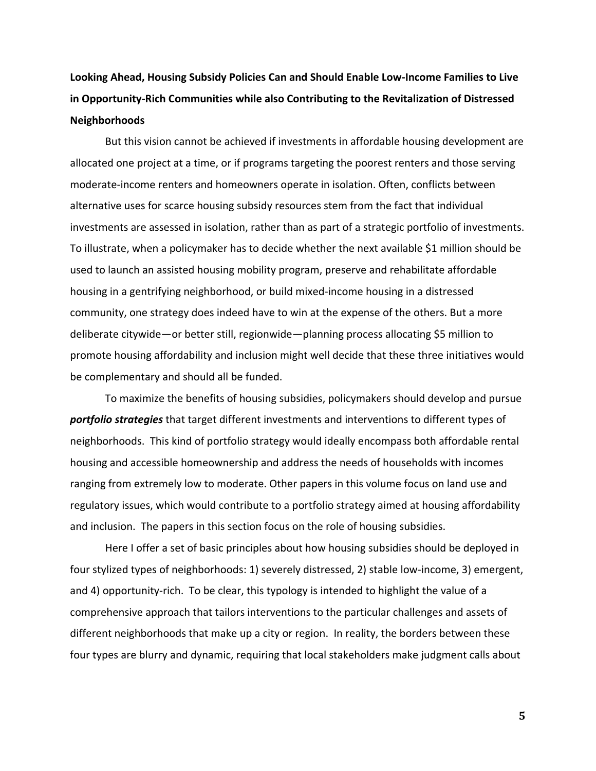**Looking Ahead, Housing Subsidy Policies Can and Should Enable Low-Income Families to Live in Opportunity-Rich Communities while also Contributing to the Revitalization of Distressed Neighborhoods**

But this vision cannot be achieved if investments in affordable housing development are allocated one project at a time, or if programs targeting the poorest renters and those serving moderate-income renters and homeowners operate in isolation. Often, conflicts between alternative uses for scarce housing subsidy resources stem from the fact that individual investments are assessed in isolation, rather than as part of a strategic portfolio of investments. To illustrate, when a policymaker has to decide whether the next available \$1 million should be used to launch an assisted housing mobility program, preserve and rehabilitate affordable housing in a gentrifying neighborhood, or build mixed-income housing in a distressed community, one strategy does indeed have to win at the expense of the others. But a more deliberate citywide—or better still, regionwide—planning process allocating \$5 million to promote housing affordability and inclusion might well decide that these three initiatives would be complementary and should all be funded.

To maximize the benefits of housing subsidies, policymakers should develop and pursue *portfolio strategies* that target different investments and interventions to different types of neighborhoods. This kind of portfolio strategy would ideally encompass both affordable rental housing and accessible homeownership and address the needs of households with incomes ranging from extremely low to moderate. Other papers in this volume focus on land use and regulatory issues, which would contribute to a portfolio strategy aimed at housing affordability and inclusion. The papers in this section focus on the role of housing subsidies.

Here I offer a set of basic principles about how housing subsidies should be deployed in four stylized types of neighborhoods: 1) severely distressed, 2) stable low-income, 3) emergent, and 4) opportunity-rich. To be clear, this typology is intended to highlight the value of a comprehensive approach that tailors interventions to the particular challenges and assets of different neighborhoods that make up a city or region. In reality, the borders between these four types are blurry and dynamic, requiring that local stakeholders make judgment calls about

**5**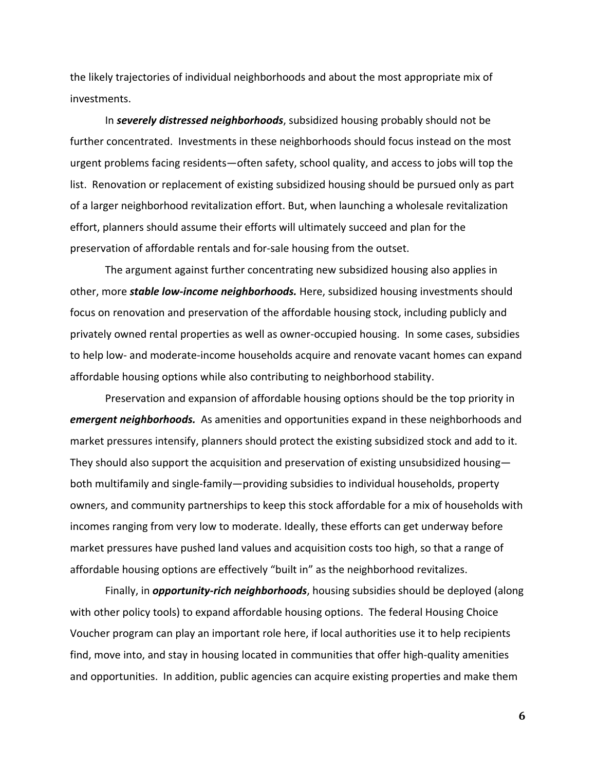the likely trajectories of individual neighborhoods and about the most appropriate mix of investments.

In *severely distressed neighborhoods*, subsidized housing probably should not be further concentrated. Investments in these neighborhoods should focus instead on the most urgent problems facing residents—often safety, school quality, and access to jobs will top the list. Renovation or replacement of existing subsidized housing should be pursued only as part of a larger neighborhood revitalization effort. But, when launching a wholesale revitalization effort, planners should assume their efforts will ultimately succeed and plan for the preservation of affordable rentals and for-sale housing from the outset.

The argument against further concentrating new subsidized housing also applies in other, more *stable low-income neighborhoods.* Here, subsidized housing investments should focus on renovation and preservation of the affordable housing stock, including publicly and privately owned rental properties as well as owner-occupied housing. In some cases, subsidies to help low- and moderate-income households acquire and renovate vacant homes can expand affordable housing options while also contributing to neighborhood stability.

Preservation and expansion of affordable housing options should be the top priority in *emergent neighborhoods.* As amenities and opportunities expand in these neighborhoods and market pressures intensify, planners should protect the existing subsidized stock and add to it. They should also support the acquisition and preservation of existing unsubsidized housing both multifamily and single-family—providing subsidies to individual households, property owners, and community partnerships to keep this stock affordable for a mix of households with incomes ranging from very low to moderate. Ideally, these efforts can get underway before market pressures have pushed land values and acquisition costs too high, so that a range of affordable housing options are effectively "built in" as the neighborhood revitalizes.

Finally, in *opportunity-rich neighborhoods*, housing subsidies should be deployed (along with other policy tools) to expand affordable housing options. The federal Housing Choice Voucher program can play an important role here, if local authorities use it to help recipients find, move into, and stay in housing located in communities that offer high-quality amenities and opportunities. In addition, public agencies can acquire existing properties and make them

**6**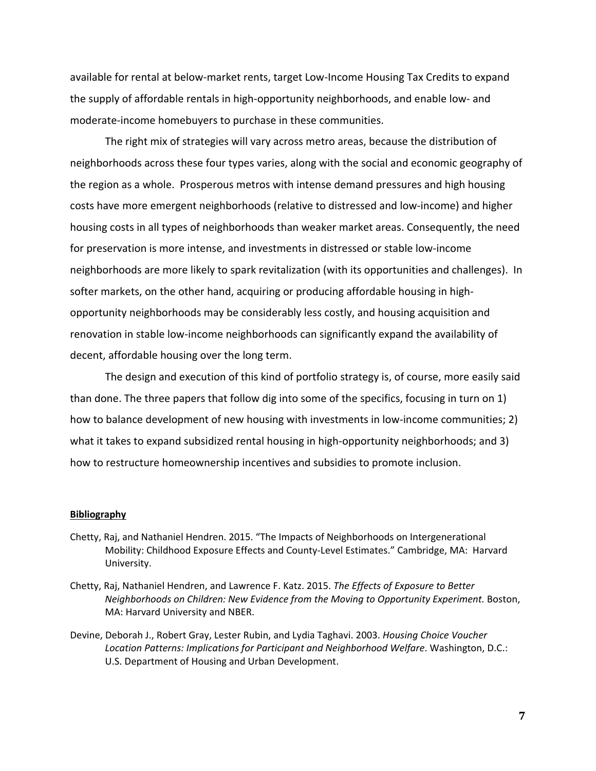available for rental at below-market rents, target Low-Income Housing Tax Credits to expand the supply of affordable rentals in high-opportunity neighborhoods, and enable low- and moderate-income homebuyers to purchase in these communities.

The right mix of strategies will vary across metro areas, because the distribution of neighborhoods across these four types varies, along with the social and economic geography of the region as a whole. Prosperous metros with intense demand pressures and high housing costs have more emergent neighborhoods (relative to distressed and low-income) and higher housing costs in all types of neighborhoods than weaker market areas. Consequently, the need for preservation is more intense, and investments in distressed or stable low-income neighborhoods are more likely to spark revitalization (with its opportunities and challenges). In softer markets, on the other hand, acquiring or producing affordable housing in highopportunity neighborhoods may be considerably less costly, and housing acquisition and renovation in stable low-income neighborhoods can significantly expand the availability of decent, affordable housing over the long term.

The design and execution of this kind of portfolio strategy is, of course, more easily said than done. The three papers that follow dig into some of the specifics, focusing in turn on 1) how to balance development of new housing with investments in low-income communities; 2) what it takes to expand subsidized rental housing in high-opportunity neighborhoods; and 3) how to restructure homeownership incentives and subsidies to promote inclusion.

#### **Bibliography**

- Chetty, Raj, and Nathaniel Hendren. 2015. "The Impacts of Neighborhoods on Intergenerational Mobility: Childhood Exposure Effects and County-Level Estimates." Cambridge, MA: Harvard University.
- Chetty, Raj, Nathaniel Hendren, and Lawrence F. Katz. 2015. *The Effects of Exposure to Better Neighborhoods on Children: New Evidence from the Moving to Opportunity Experiment. Boston,* MA: Harvard University and NBER.
- Devine, Deborah J., Robert Gray, Lester Rubin, and Lydia Taghavi. 2003. *Housing Choice Voucher Location Patterns: Implications for Participant and Neighborhood Welfare*. Washington, D.C.: U.S. Department of Housing and Urban Development.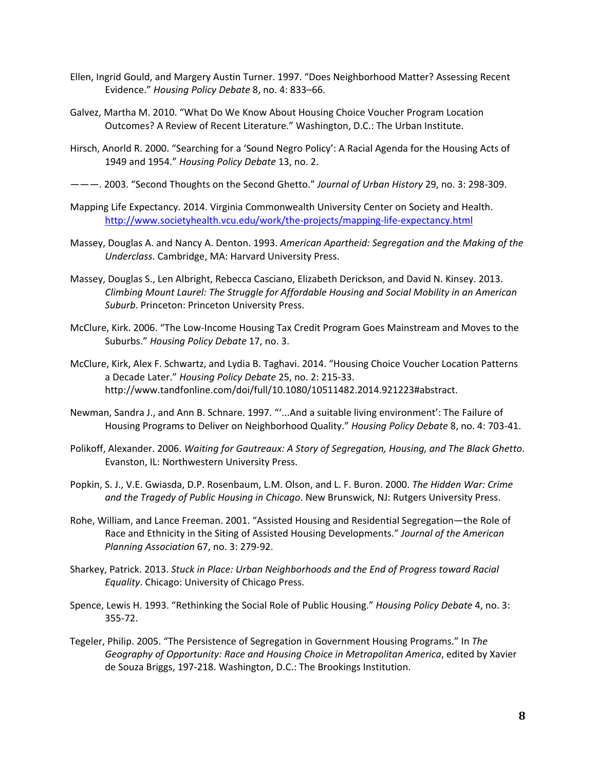- Ellen, Ingrid Gould, and Margery Austin Turner. 1997. "Does Neighborhood Matter? Assessing Recent Evidence." *Housing Policy Debate* 8, no. 4: 833–66.
- Galvez, Martha M. 2010. "What Do We Know About Housing Choice Voucher Program Location Outcomes? A Review of Recent Literature." Washington, D.C.: The Urban Institute.
- Hirsch, Anorld R. 2000. "Searching for a 'Sound Negro Policy': A Racial Agenda for the Housing Acts of 1949 and 1954." *Housing Policy Debate* 13, no. 2.
- ———. 2003. "Second Thoughts on the Second Ghetto." *Journal of Urban History* 29, no. 3: 298-309.
- Mapping Life Expectancy. 2014. Virginia Commonwealth University Center on Society and Health. <http://www.societyhealth.vcu.edu/work/the-projects/mapping-life-expectancy.html>
- Massey, Douglas A. and Nancy A. Denton. 1993. *American Apartheid: Segregation and the Making of the Underclass*. Cambridge, MA: Harvard University Press.
- Massey, Douglas S., Len Albright, Rebecca Casciano, Elizabeth Derickson, and David N. Kinsey. 2013. *Climbing Mount Laurel: The Struggle for Affordable Housing and Social Mobility in an American Suburb*. Princeton: Princeton University Press.
- McClure, Kirk. 2006. "The Low-Income Housing Tax Credit Program Goes Mainstream and Moves to the Suburbs." *Housing Policy Debate* 17, no. 3.
- McClure, Kirk, Alex F. Schwartz, and Lydia B. Taghavi. 2014. "Housing Choice Voucher Location Patterns a Decade Later." *Housing Policy Debate* 25, no. 2: 215-33. http://www.tandfonline.com/doi/full/10.1080/10511482.2014.921223#abstract.
- Newman, Sandra J., and Ann B. Schnare. 1997. "'...And a suitable living environment': The Failure of Housing Programs to Deliver on Neighborhood Quality." *Housing Policy Debate* 8, no. 4: 703-41.
- Polikoff, Alexander. 2006. *Waiting for Gautreaux: A Story of Segregation, Housing, and The Black Ghetto*. Evanston, IL: Northwestern University Press.
- Popkin, S. J., V.E. Gwiasda, D.P. Rosenbaum, L.M. Olson, and L. F. Buron. 2000. *The Hidden War: Crime and the Tragedy of Public Housing in Chicago*. New Brunswick, NJ: Rutgers University Press.
- Rohe, William, and Lance Freeman. 2001. "Assisted Housing and Residential Segregation—the Role of Race and Ethnicity in the Siting of Assisted Housing Developments." *Journal of the American Planning Association* 67, no. 3: 279-92.
- Sharkey, Patrick. 2013. *Stuck in Place: Urban Neighborhoods and the End of Progress toward Racial Equality*. Chicago: University of Chicago Press.
- Spence, Lewis H. 1993. "Rethinking the Social Role of Public Housing." *Housing Policy Debate* 4, no. 3: 355-72.
- Tegeler, Philip. 2005. "The Persistence of Segregation in Government Housing Programs." In *The Geography of Opportunity: Race and Housing Choice in Metropolitan America*, edited by Xavier de Souza Briggs, 197-218. Washington, D.C.: The Brookings Institution.